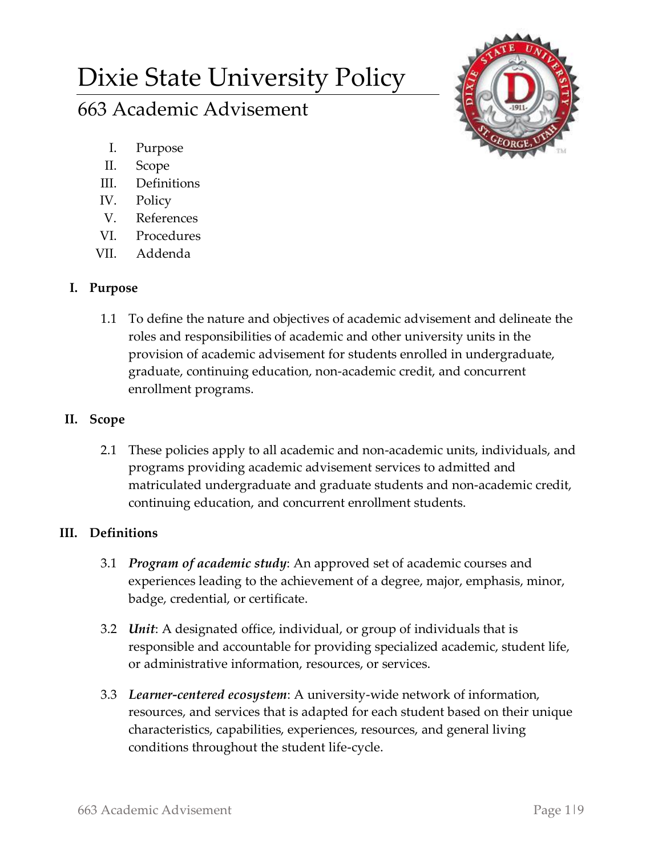# Dixie State University Policy

# 663 Academic Advisement

- I. Purpose
- II. Scope
- III. Definitions
- IV. Policy
- V. References
- VI. Procedures
- VII. Addenda

## **I. Purpose**

1.1 To define the nature and objectives of academic advisement and delineate the roles and responsibilities of academic and other university units in the provision of academic advisement for students enrolled in undergraduate, graduate, continuing education, non-academic credit, and concurrent enrollment programs.

#### **II. Scope**

2.1 These policies apply to all academic and non-academic units, individuals, and programs providing academic advisement services to admitted and matriculated undergraduate and graduate students and non-academic credit, continuing education, and concurrent enrollment students.

## **III. Definitions**

- 3.1 *Program of academic study*: An approved set of academic courses and experiences leading to the achievement of a degree, major, emphasis, minor, badge, credential, or certificate.
- 3.2 *Unit*: A designated office, individual, or group of individuals that is responsible and accountable for providing specialized academic, student life, or administrative information, resources, or services.
- 3.3 *Learner-centered ecosystem*: A university-wide network of information, resources, and services that is adapted for each student based on their unique characteristics, capabilities, experiences, resources, and general living conditions throughout the student life-cycle.

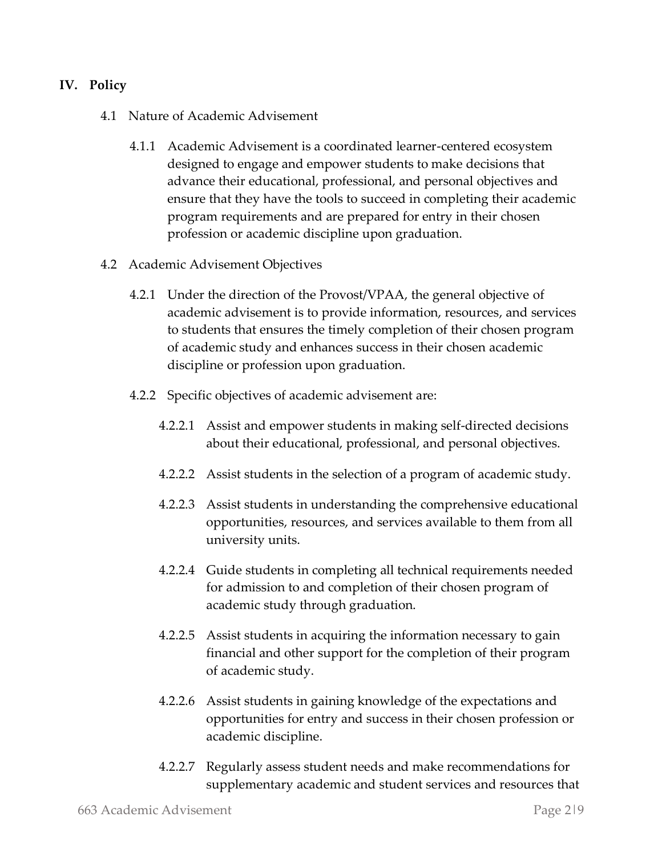#### **IV. Policy**

- 4.1 Nature of Academic Advisement
	- 4.1.1 Academic Advisement is a coordinated learner-centered ecosystem designed to engage and empower students to make decisions that advance their educational, professional, and personal objectives and ensure that they have the tools to succeed in completing their academic program requirements and are prepared for entry in their chosen profession or academic discipline upon graduation.
- 4.2 Academic Advisement Objectives
	- 4.2.1 Under the direction of the Provost/VPAA, the general objective of academic advisement is to provide information, resources, and services to students that ensures the timely completion of their chosen program of academic study and enhances success in their chosen academic discipline or profession upon graduation.
	- 4.2.2 Specific objectives of academic advisement are:
		- 4.2.2.1 Assist and empower students in making self-directed decisions about their educational, professional, and personal objectives.
		- 4.2.2.2 Assist students in the selection of a program of academic study.
		- 4.2.2.3 Assist students in understanding the comprehensive educational opportunities, resources, and services available to them from all university units.
		- 4.2.2.4 Guide students in completing all technical requirements needed for admission to and completion of their chosen program of academic study through graduation.
		- 4.2.2.5 Assist students in acquiring the information necessary to gain financial and other support for the completion of their program of academic study.
		- 4.2.2.6 Assist students in gaining knowledge of the expectations and opportunities for entry and success in their chosen profession or academic discipline.
		- 4.2.2.7 Regularly assess student needs and make recommendations for supplementary academic and student services and resources that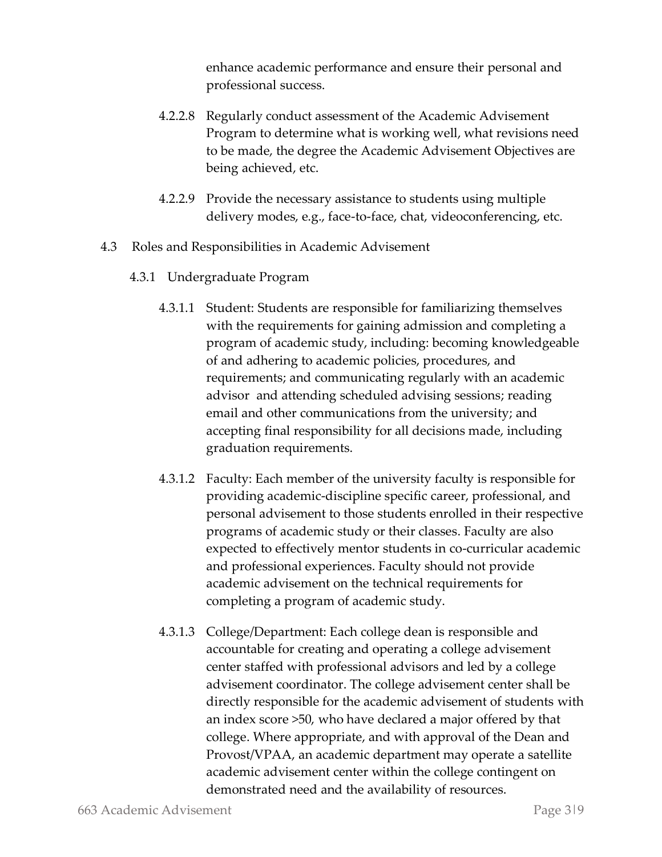enhance academic performance and ensure their personal and professional success.

- 4.2.2.8 Regularly conduct assessment of the Academic Advisement Program to determine what is working well, what revisions need to be made, the degree the Academic Advisement Objectives are being achieved, etc.
- 4.2.2.9 Provide the necessary assistance to students using multiple delivery modes, e.g., face-to-face, chat, videoconferencing, etc.
- 4.3 Roles and Responsibilities in Academic Advisement
	- 4.3.1 Undergraduate Program
		- 4.3.1.1 Student: Students are responsible for familiarizing themselves with the requirements for gaining admission and completing a program of academic study, including: becoming knowledgeable of and adhering to academic policies, procedures, and requirements; and communicating regularly with an academic advisor and attending scheduled advising sessions; reading email and other communications from the university; and accepting final responsibility for all decisions made, including graduation requirements.
		- 4.3.1.2 Faculty: Each member of the university faculty is responsible for providing academic-discipline specific career, professional, and personal advisement to those students enrolled in their respective programs of academic study or their classes. Faculty are also expected to effectively mentor students in co-curricular academic and professional experiences. Faculty should not provide academic advisement on the technical requirements for completing a program of academic study.
		- 4.3.1.3 College/Department: Each college dean is responsible and accountable for creating and operating a college advisement center staffed with professional advisors and led by a college advisement coordinator. The college advisement center shall be directly responsible for the academic advisement of students with an index score >50, who have declared a major offered by that college. Where appropriate, and with approval of the Dean and Provost/VPAA, an academic department may operate a satellite academic advisement center within the college contingent on demonstrated need and the availability of resources.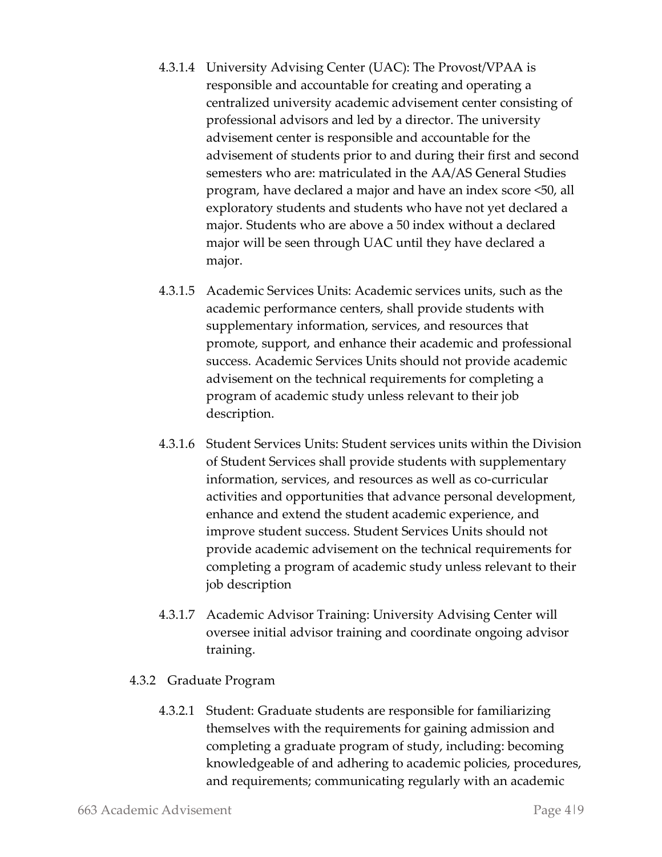- 4.3.1.4 University Advising Center (UAC): The Provost/VPAA is responsible and accountable for creating and operating a centralized university academic advisement center consisting of professional advisors and led by a director. The university advisement center is responsible and accountable for the advisement of students prior to and during their first and second semesters who are: matriculated in the AA/AS General Studies program, have declared a major and have an index score <50, all exploratory students and students who have not yet declared a major. Students who are above a 50 index without a declared major will be seen through UAC until they have declared a major.
- 4.3.1.5 Academic Services Units: Academic services units, such as the academic performance centers, shall provide students with supplementary information, services, and resources that promote, support, and enhance their academic and professional success. Academic Services Units should not provide academic advisement on the technical requirements for completing a program of academic study unless relevant to their job description.
- 4.3.1.6 Student Services Units: Student services units within the Division of Student Services shall provide students with supplementary information, services, and resources as well as co-curricular activities and opportunities that advance personal development, enhance and extend the student academic experience, and improve student success. Student Services Units should not provide academic advisement on the technical requirements for completing a program of academic study unless relevant to their job description
- 4.3.1.7 Academic Advisor Training: University Advising Center will oversee initial advisor training and coordinate ongoing advisor training.
- 4.3.2 Graduate Program
	- 4.3.2.1 Student: Graduate students are responsible for familiarizing themselves with the requirements for gaining admission and completing a graduate program of study, including: becoming knowledgeable of and adhering to academic policies, procedures, and requirements; communicating regularly with an academic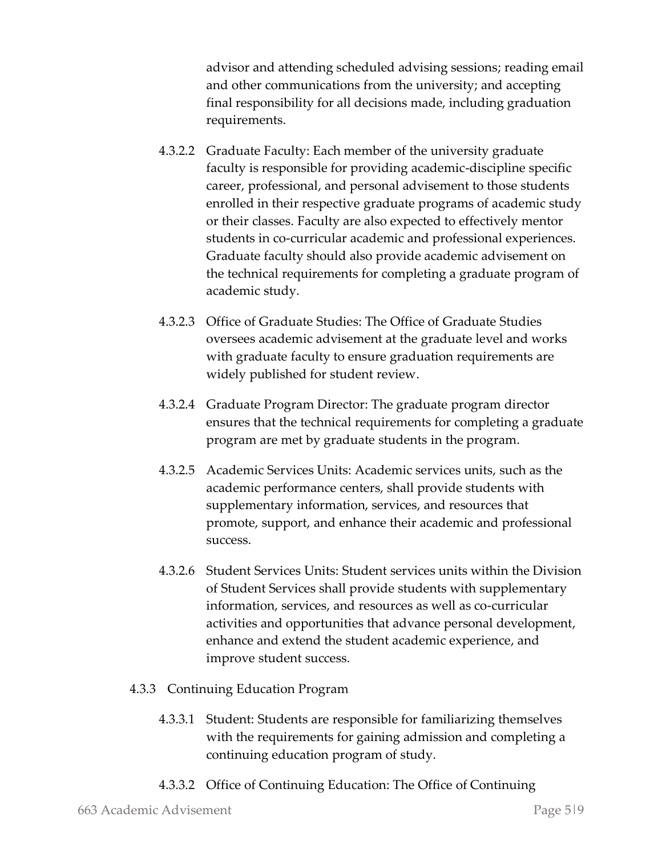advisor and attending scheduled advising sessions; reading email and other communications from the university; and accepting final responsibility for all decisions made, including graduation requirements.

- 4.3.2.2 Graduate Faculty: Each member of the university graduate faculty is responsible for providing academic-discipline specific career, professional, and personal advisement to those students enrolled in their respective graduate programs of academic study or their classes. Faculty are also expected to effectively mentor students in co-curricular academic and professional experiences. Graduate faculty should also provide academic advisement on the technical requirements for completing a graduate program of academic study.
- 4.3.2.3 Office of Graduate Studies: The Office of Graduate Studies oversees academic advisement at the graduate level and works with graduate faculty to ensure graduation requirements are widely published for student review.
- 4.3.2.4 Graduate Program Director: The graduate program director ensures that the technical requirements for completing a graduate program are met by graduate students in the program.
- 4.3.2.5 Academic Services Units: Academic services units, such as the academic performance centers, shall provide students with supplementary information, services, and resources that promote, support, and enhance their academic and professional success.
- 4.3.2.6 Student Services Units: Student services units within the Division of Student Services shall provide students with supplementary information, services, and resources as well as co-curricular activities and opportunities that advance personal development, enhance and extend the student academic experience, and improve student success.
- 4.3.3 Continuing Education Program
	- 4.3.3.1 Student: Students are responsible for familiarizing themselves with the requirements for gaining admission and completing a continuing education program of study.
	- 4.3.3.2 Office of Continuing Education: The Office of Continuing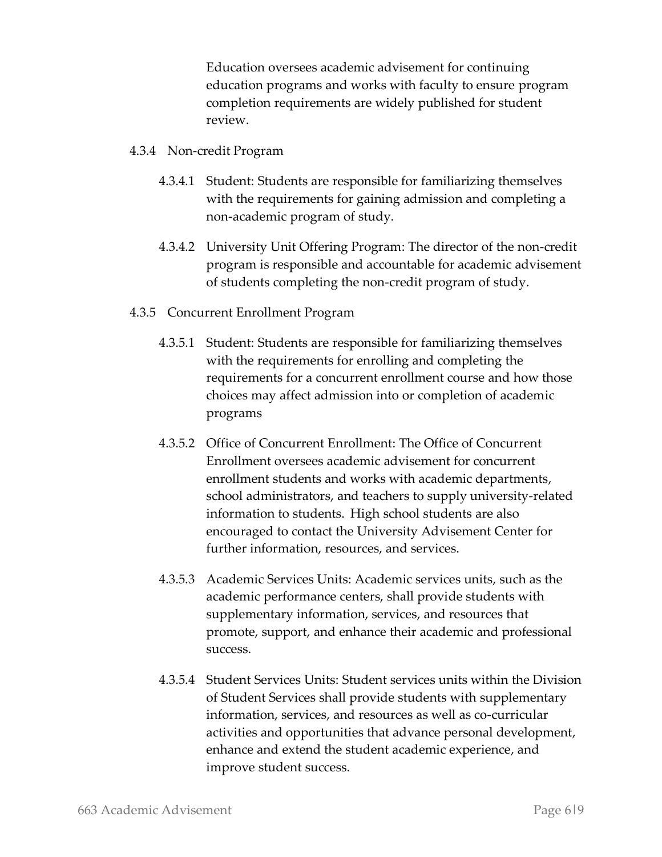Education oversees academic advisement for continuing education programs and works with faculty to ensure program completion requirements are widely published for student review.

- 4.3.4 Non-credit Program
	- 4.3.4.1 Student: Students are responsible for familiarizing themselves with the requirements for gaining admission and completing a non-academic program of study.
	- 4.3.4.2 University Unit Offering Program: The director of the non-credit program is responsible and accountable for academic advisement of students completing the non-credit program of study.
- 4.3.5 Concurrent Enrollment Program
	- 4.3.5.1 Student: Students are responsible for familiarizing themselves with the requirements for enrolling and completing the requirements for a concurrent enrollment course and how those choices may affect admission into or completion of academic programs
	- 4.3.5.2 Office of Concurrent Enrollment: The Office of Concurrent Enrollment oversees academic advisement for concurrent enrollment students and works with academic departments, school administrators, and teachers to supply university-related information to students. High school students are also encouraged to contact the University Advisement Center for further information, resources, and services.
	- 4.3.5.3 Academic Services Units: Academic services units, such as the academic performance centers, shall provide students with supplementary information, services, and resources that promote, support, and enhance their academic and professional success.
	- 4.3.5.4 Student Services Units: Student services units within the Division of Student Services shall provide students with supplementary information, services, and resources as well as co-curricular activities and opportunities that advance personal development, enhance and extend the student academic experience, and improve student success.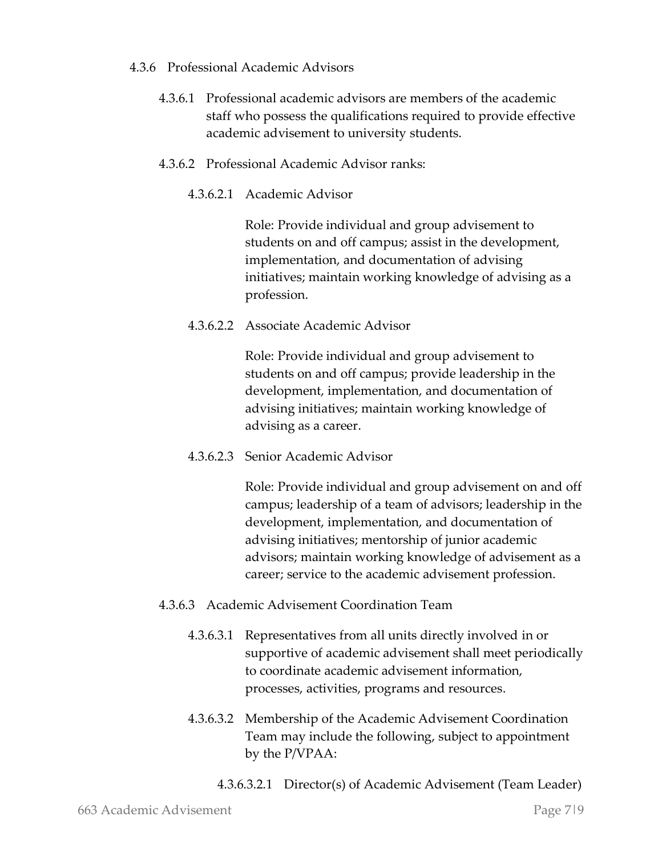#### 4.3.6 Professional Academic Advisors

- 4.3.6.1 Professional academic advisors are members of the academic staff who possess the qualifications required to provide effective academic advisement to university students.
- 4.3.6.2 Professional Academic Advisor ranks:
	- 4.3.6.2.1 Academic Advisor

Role: Provide individual and group advisement to students on and off campus; assist in the development, implementation, and documentation of advising initiatives; maintain working knowledge of advising as a profession.

4.3.6.2.2 Associate Academic Advisor

Role: Provide individual and group advisement to students on and off campus; provide leadership in the development, implementation, and documentation of advising initiatives; maintain working knowledge of advising as a career.

4.3.6.2.3 Senior Academic Advisor

Role: Provide individual and group advisement on and off campus; leadership of a team of advisors; leadership in the development, implementation, and documentation of advising initiatives; mentorship of junior academic advisors; maintain working knowledge of advisement as a career; service to the academic advisement profession.

- 4.3.6.3 Academic Advisement Coordination Team
	- 4.3.6.3.1 Representatives from all units directly involved in or supportive of academic advisement shall meet periodically to coordinate academic advisement information, processes, activities, programs and resources.
	- 4.3.6.3.2 Membership of the Academic Advisement Coordination Team may include the following, subject to appointment by the P/VPAA:
		- 4.3.6.3.2.1 Director(s) of Academic Advisement (Team Leader)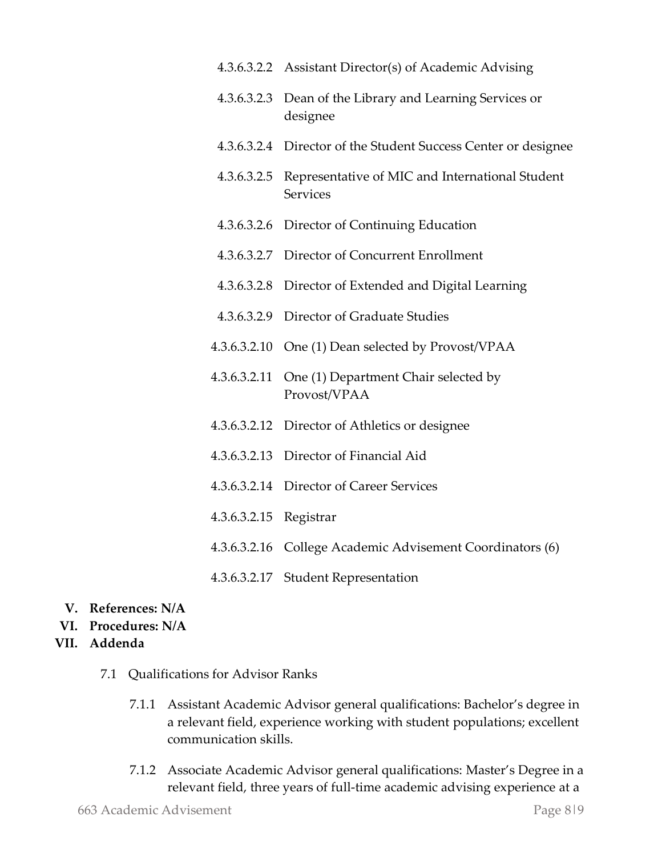|              | 4.3.6.3.2.2 Assistant Director(s) of Academic Advising             |
|--------------|--------------------------------------------------------------------|
| 4.3.6.3.2.3  | Dean of the Library and Learning Services or<br>designee           |
|              | 4.3.6.3.2.4 Director of the Student Success Center or designee     |
| 4.3.6.3.2.5  | Representative of MIC and International Student<br><b>Services</b> |
| 4.3.6.3.2.6  | Director of Continuing Education                                   |
|              | 4.3.6.3.2.7 Director of Concurrent Enrollment                      |
| 4.3.6.3.2.8  | Director of Extended and Digital Learning                          |
| 4.3.6.3.2.9  | Director of Graduate Studies                                       |
| 4.3.6.3.2.10 | One (1) Dean selected by Provost/VPAA                              |
| 4.3.6.3.2.11 | One (1) Department Chair selected by<br>Provost/VPAA               |
|              | 4.3.6.3.2.12 Director of Athletics or designee                     |
|              | 4.3.6.3.2.13 Director of Financial Aid                             |
| 4.3.6.3.2.14 | Director of Career Services                                        |
| 4.3.6.3.2.15 | Registrar                                                          |
|              | 4.3.6.3.2.16 College Academic Advisement Coordinators (6)          |
|              | 4.3.6.3.2.17 Student Representation                                |

- **V. References: N/A**
- **VI. Procedures: N/A**
- **VII. Addenda**
	- 7.1 Qualifications for Advisor Ranks
		- 7.1.1 Assistant Academic Advisor general qualifications: Bachelor's degree in a relevant field, experience working with student populations; excellent communication skills.
		- 7.1.2 Associate Academic Advisor general qualifications: Master's Degree in a relevant field, three years of full-time academic advising experience at a